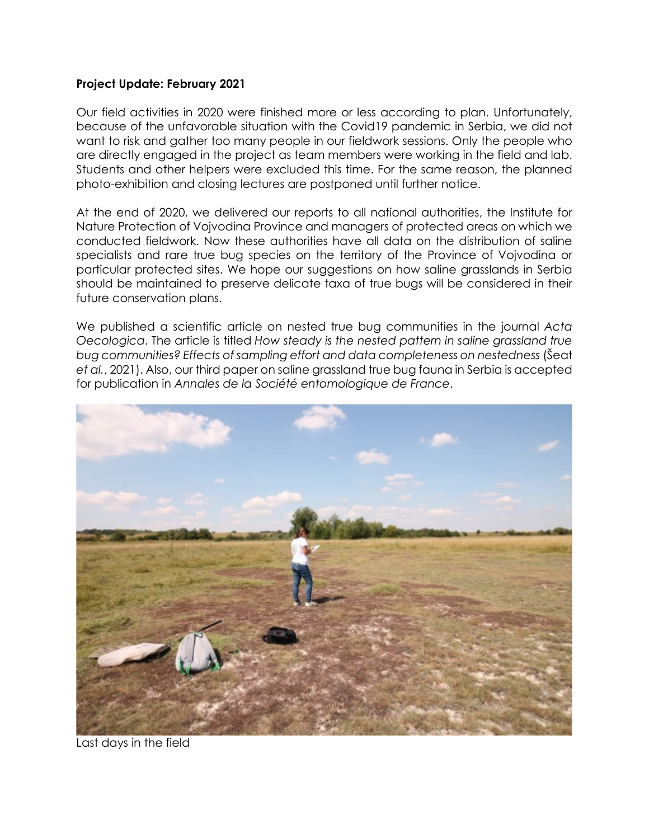## **Project Update: February 2021**

Our field activities in 2020 were finished more or less according to plan. Unfortunately, because of the unfavorable situation with the Covid19 pandemic in Serbia, we did not want to risk and gather too many people in our fieldwork sessions. Only the people who are directly engaged in the project as team members were working in the field and lab. Students and other helpers were excluded this time. For the same reason, the planned photo-exhibition and closing lectures are postponed until further notice.

At the end of 2020, we delivered our reports to all national authorities, the Institute for Nature Protection of Vojvodina Province and managers of protected areas on which we conducted fieldwork. Now these authorities have all data on the distribution of saline specialists and rare true bug species on the territory of the Province of Vojvodina or particular protected sites. We hope our suggestions on how saline grasslands in Serbia should be maintained to preserve delicate taxa of true bugs will be considered in their future conservation plans.

We published a scientific article on nested true bug communities in the journal *Acta Oecologica*. The article is titled *How steady is the nested pattern in saline grassland true bug communities? Effects of sampling effort and data completeness on nestedness* (Šeat *et al.*, 2021). Also, our third paper on saline grassland true bug fauna in Serbia is accepted for publication in *Annales de la Société entomologique de France*.



Last days in the field